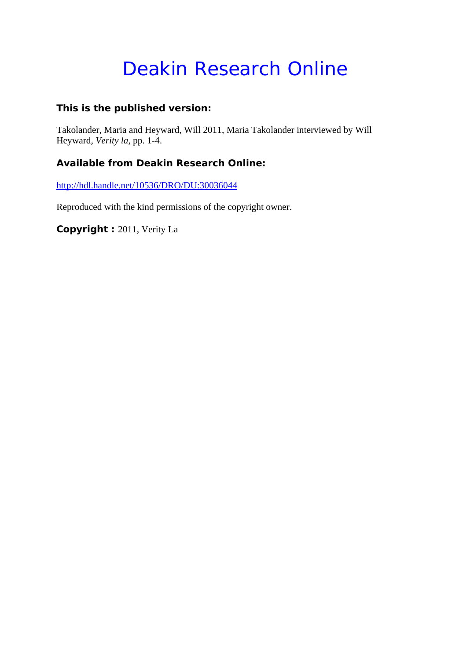## Deakin Research Online

## **This is the published version:**

Takolander, Maria and Heyward, Will 2011, Maria Takolander interviewed by Will Heyward*, Verity la*, pp. 1-4.

## **Available from Deakin Research Online:**

http://hdl.handle.net/10536/DRO/DU:30036044

Reproduced with the kind permissions of the copyright owner.

**Copyright :** 2011, Verity La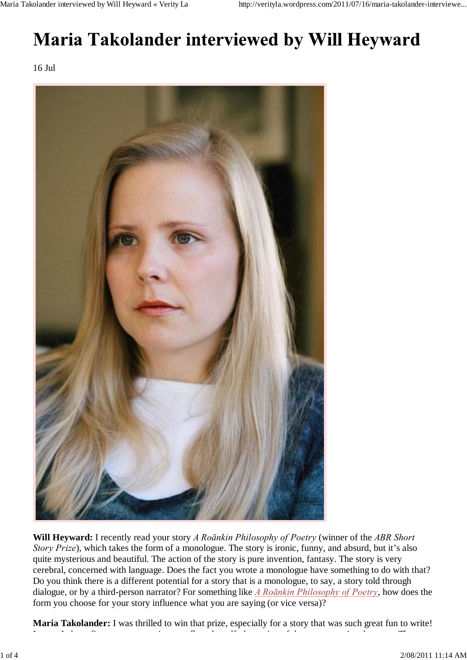## Maria Takolander interviewed by Will Heyward

16 Jul



**Will Heyward:** I recently read your story *A Roānkin Philosophy of Poetry* (winner of the *ABR Short Story Prize*), which takes the form of a monologue. The story is ironic, funny, and absurd, but it's also quite mysterious and beautiful. The action of the story is pure invention, fantasy. The story is very cerebral, concerned with language. Does the fact you wrote a monologue have something to do with that? Do you think there is a different potential for a story that is a monologue, to say, a story told through dialogue, or by a third-person narrator? For something like *A Roānkin Philosophy of Poetry*, how does the form you choose for your story influence what you are saying (or vice versa)?

**Maria Takolander:** I was thrilled to win that prize, especially for a story that was such great fun to write!

I h fi i fl h fi i fl h i fl h i fl h i fl h i fl h i fl h i fl h i fl h i fl h i fl h i fl h i fl h i fl h i<br>I h i fl h i fl h i fl h i fl h i fl h i fl h i fl h i fl h i fl h i fl h i fl h i fl h i fl h i fl h i fl h i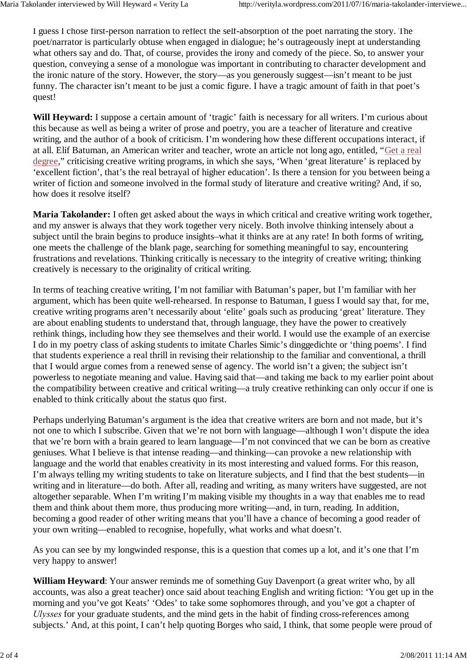I guess I chose first-person narration to reflect the self-absorption of the poet narrating the story. The poet/narrator is particularly obtuse when engaged in dialogue; he's outrageously inept at understanding what others say and do. That, of course, provides the irony and comedy of the piece. So, to answer your question, conveying a sense of a monologue was important in contributing to character development and the ironic nature of the story. However, the story—as you generously suggest—isn't meant to be just funny. The character isn't meant to be just a comic figure. I have a tragic amount of faith in that poet's quest!

Will Heyward: I suppose a certain amount of 'tragic' faith is necessary for all writers. I'm curious about this because as well as being a writer of prose and poetry, you are a teacher of literature and creative writing, and the author of a book of criticism. I'm wondering how these different occupations interact, if at all. Elif Batuman, an American writer and teacher, wrote an article not long ago, entitled, "Get a real degree," criticising creative writing programs, in which she says, 'When 'great literature' is replaced by 'excellent fiction', that's the real betrayal of higher education'. Is there a tension for you between being a writer of fiction and someone involved in the formal study of literature and creative writing? And, if so, how does it resolve itself?

**Maria Takolander:** I often get asked about the ways in which critical and creative writing work together, and my answer is always that they work together very nicely. Both involve thinking intensely about a subject until the brain begins to produce insights–what it thinks are at any rate! In both forms of writing, one meets the challenge of the blank page, searching for something meaningful to say, encountering frustrations and revelations. Thinking critically is necessary to the integrity of creative writing; thinking creatively is necessary to the originality of critical writing.

In terms of teaching creative writing, I'm not familiar with Batuman's paper, but I'm familiar with her argument, which has been quite well-rehearsed. In response to Batuman, I guess I would say that, for me, creative writing programs aren't necessarily about 'elite' goals such as producing 'great' literature. They are about enabling students to understand that, through language, they have the power to creatively rethink things, including how they see themselves and their world. I would use the example of an exercise I do in my poetry class of asking students to imitate Charles Simic's dinggedichte or 'thing poems'. I find that students experience a real thrill in revising their relationship to the familiar and conventional, a thrill that I would argue comes from a renewed sense of agency. The world isn't a given; the subject isn't powerless to negotiate meaning and value. Having said that—and taking me back to my earlier point about the compatibility between creative and critical writing—a truly creative rethinking can only occur if one is enabled to think critically about the status quo first.

Perhaps underlying Batuman's argument is the idea that creative writers are born and not made, but it's not one to which I subscribe. Given that we're not born with language—although I won't dispute the idea that we're born with a brain geared to learn language—I'm not convinced that we can be born as creative geniuses. What I believe is that intense reading—and thinking—can provoke a new relationship with language and the world that enables creativity in its most interesting and valued forms. For this reason, I'm always telling my writing students to take on literature subjects, and I find that the best students—in writing and in literature—do both. After all, reading and writing, as many writers have suggested, are not altogether separable. When I'm writing I'm making visible my thoughts in a way that enables me to read them and think about them more, thus producing more writing—and, in turn, reading. In addition, becoming a good reader of other writing means that you'll have a chance of becoming a good reader of your own writing—enabled to recognise, hopefully, what works and what doesn't.

As you can see by my longwinded response, this is a question that comes up a lot, and it's one that I'm very happy to answer!

**William Heyward**: Your answer reminds me of something Guy Davenport (a great writer who, by all accounts, was also a great teacher) once said about teaching English and writing fiction: 'You get up in the morning and you've got Keats' 'Odes' to take some sophomores through, and you've got a chapter of *Ulysses* for your graduate students, and the mind gets in the habit of finding cross-references among subjects.' And, at this point, I can't help quoting Borges who said, I think, that some people were proud of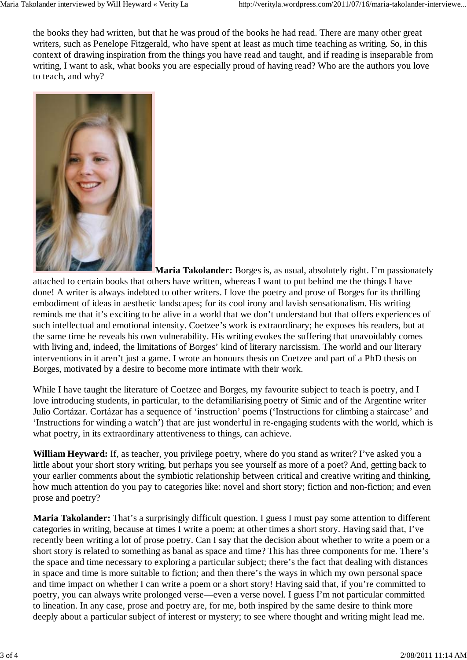the books they had written, but that he was proud of the books he had read. There are many other great writers, such as Penelope Fitzgerald, who have spent at least as much time teaching as writing. So, in this context of drawing inspiration from the things you have read and taught, and if reading is inseparable from writing, I want to ask, what books you are especially proud of having read? Who are the authors you love to teach, and why?



**Maria Takolander:** Borges is, as usual, absolutely right. I'm passionately attached to certain books that others have written, whereas I want to put behind me the things I have done! A writer is always indebted to other writers. I love the poetry and prose of Borges for its thrilling embodiment of ideas in aesthetic landscapes; for its cool irony and lavish sensationalism. His writing reminds me that it's exciting to be alive in a world that we don't understand but that offers experiences of such intellectual and emotional intensity. Coetzee's work is extraordinary; he exposes his readers, but at the same time he reveals his own vulnerability. His writing evokes the suffering that unavoidably comes with living and, indeed, the limitations of Borges' kind of literary narcissism. The world and our literary interventions in it aren't just a game. I wrote an honours thesis on Coetzee and part of a PhD thesis on Borges, motivated by a desire to become more intimate with their work.

While I have taught the literature of Coetzee and Borges, my favourite subject to teach is poetry, and I love introducing students, in particular, to the defamiliarising poetry of Simic and of the Argentine writer Julio Cortázar. Cortázar has a sequence of 'instruction' poems ('Instructions for climbing a staircase' and 'Instructions for winding a watch') that are just wonderful in re-engaging students with the world, which is what poetry, in its extraordinary attentiveness to things, can achieve.

**William Heyward:** If, as teacher, you privilege poetry, where do you stand as writer? I've asked you a little about your short story writing, but perhaps you see yourself as more of a poet? And, getting back to your earlier comments about the symbiotic relationship between critical and creative writing and thinking, how much attention do you pay to categories like: novel and short story; fiction and non-fiction; and even prose and poetry?

**Maria Takolander:** That's a surprisingly difficult question. I guess I must pay some attention to different categories in writing, because at times I write a poem; at other times a short story. Having said that, I've recently been writing a lot of prose poetry. Can I say that the decision about whether to write a poem or a short story is related to something as banal as space and time? This has three components for me. There's the space and time necessary to exploring a particular subject; there's the fact that dealing with distances in space and time is more suitable to fiction; and then there's the ways in which my own personal space and time impact on whether I can write a poem or a short story! Having said that, if you're committed to poetry, you can always write prolonged verse—even a verse novel. I guess I'm not particular committed to lineation. In any case, prose and poetry are, for me, both inspired by the same desire to think more deeply about a particular subject of interest or mystery; to see where thought and writing might lead me.